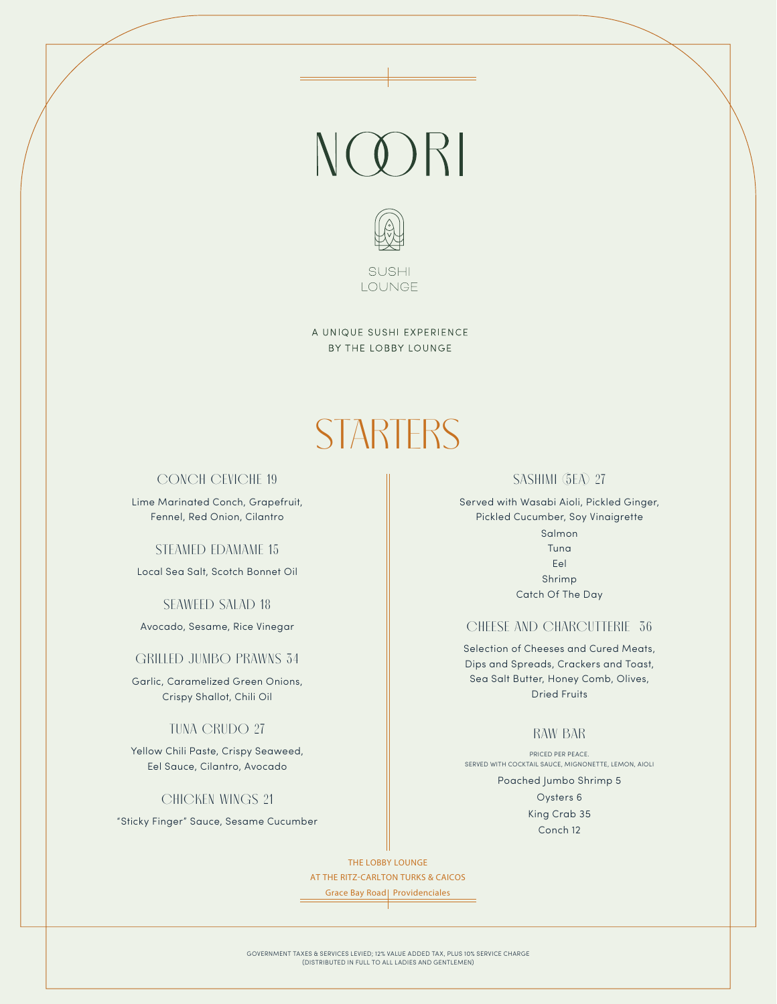# NOORI



A UNIQUE SUSHI EXPERIENCE BY THE LOBBY LOUNGE

## **STARTERS**

#### **CONCH CEVICHE 19**

Lime Marinated Conch, Grapefruit, Fennel, Red Onion, Cilantro

#### **STEAMED EDAMAME 15**

Local Sea Salt, Scotch Bonnet Oil

#### **SEAWEED SALAD 18**

Avocado, Sesame, Rice Vinegar

#### **GRILLED JUMBO PRAWNS 34**

Garlic, Caramelized Green Onions, Crispy Shallot, Chili Oil

#### **TUNA CRUDO 27**

Yellow Chili Paste, Crispy Seaweed, Eel Sauce, Cilantro, Avocado

#### **CHICKEN WINGS 21**

"Sticky Finger" Sauce, Sesame Cucumber

#### **SASHIMI (5EA) 27**

Served with Wasabi Aioli, Pickled Ginger, Pickled Cucumber, Soy Vinaigrette Salmon Tuna Eel Shrimp Catch Of The Day

#### **CHEESE AND CHARCUTTERIE 36**

Selection of Cheeses and Cured Meats, Dips and Spreads, Crackers and Toast, Sea Salt Butter, Honey Comb, Olives, Dried Fruits

#### **RAW BAR**

PRICED PER PEACE. SERVED WITH COCKTAIL SAUCE, MIGNONETTE, LEMON, AIOLI

> Poached Jumbo Shrimp 5 Oysters 6 King Crab 35 Conch 12

THE LOBBY LOUNGE AT THE RITZ-CARLTON TURKS & CAICOS

Grace Bay Road | Providenciales

GOVERNMENT TAXES & SERVICES LEVIED; 12% VALUE ADDED TAX, PLUS 10% SERVICE CHARGE (DISTRIBUTED IN FULL TO ALL LADIES AND GENTLEMEN)